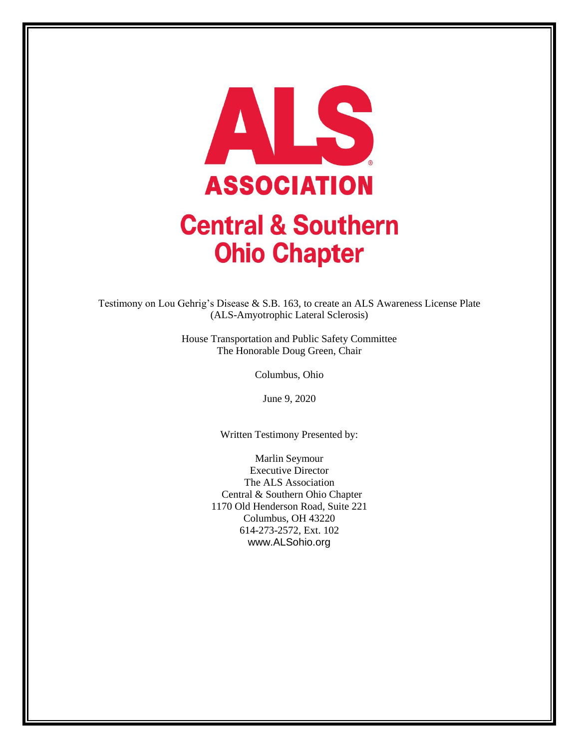

# **Central & Southern Ohio Chapter**

Testimony on Lou Gehrig's Disease & S.B. 163, to create an ALS Awareness License Plate (ALS-Amyotrophic Lateral Sclerosis)

> House Transportation and Public Safety Committee The Honorable Doug Green, Chair

> > Columbus, Ohio

June 9, 2020

Written Testimony Presented by:

Marlin Seymour Executive Director The ALS Association Central & Southern Ohio Chapter 1170 Old Henderson Road, Suite 221 Columbus, OH 43220 614-273-2572, Ext. 102 www.ALSohio.org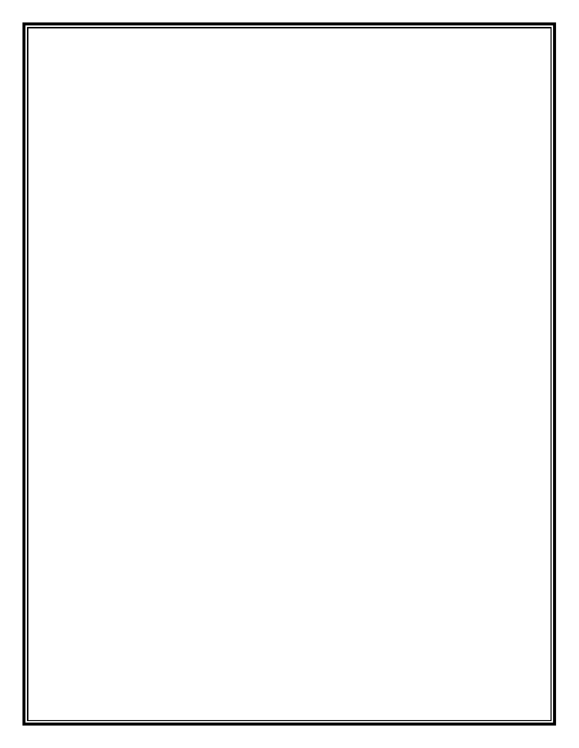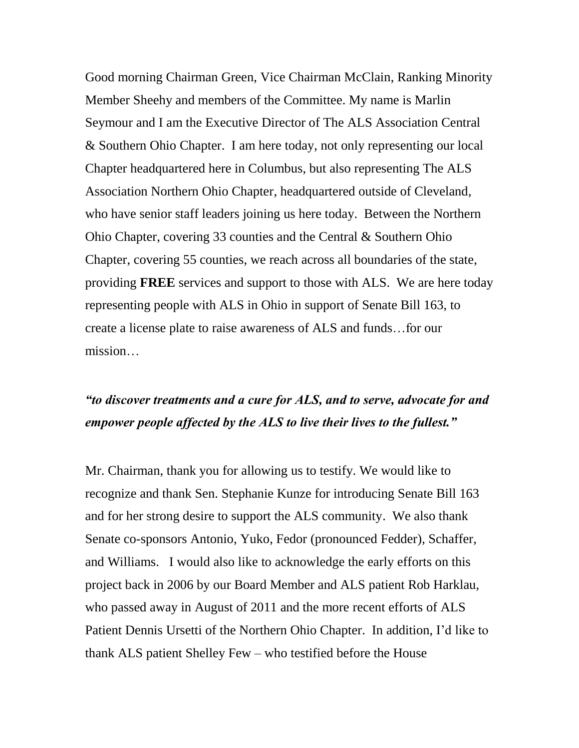Good morning Chairman Green, Vice Chairman McClain, Ranking Minority Member Sheehy and members of the Committee. My name is Marlin Seymour and I am the Executive Director of The ALS Association Central & Southern Ohio Chapter. I am here today, not only representing our local Chapter headquartered here in Columbus, but also representing The ALS Association Northern Ohio Chapter, headquartered outside of Cleveland, who have senior staff leaders joining us here today. Between the Northern Ohio Chapter, covering 33 counties and the Central & Southern Ohio Chapter, covering 55 counties, we reach across all boundaries of the state, providing **FREE** services and support to those with ALS. We are here today representing people with ALS in Ohio in support of Senate Bill 163, to create a license plate to raise awareness of ALS and funds…for our mission…

### *"to discover treatments and a cure for ALS, and to serve, advocate for and empower people affected by the ALS to live their lives to the fullest."*

Mr. Chairman, thank you for allowing us to testify. We would like to recognize and thank Sen. Stephanie Kunze for introducing Senate Bill 163 and for her strong desire to support the ALS community. We also thank Senate co-sponsors Antonio, Yuko, Fedor (pronounced Fedder), Schaffer, and Williams. I would also like to acknowledge the early efforts on this project back in 2006 by our Board Member and ALS patient Rob Harklau, who passed away in August of 2011 and the more recent efforts of ALS Patient Dennis Ursetti of the Northern Ohio Chapter. In addition, I'd like to thank ALS patient Shelley Few – who testified before the House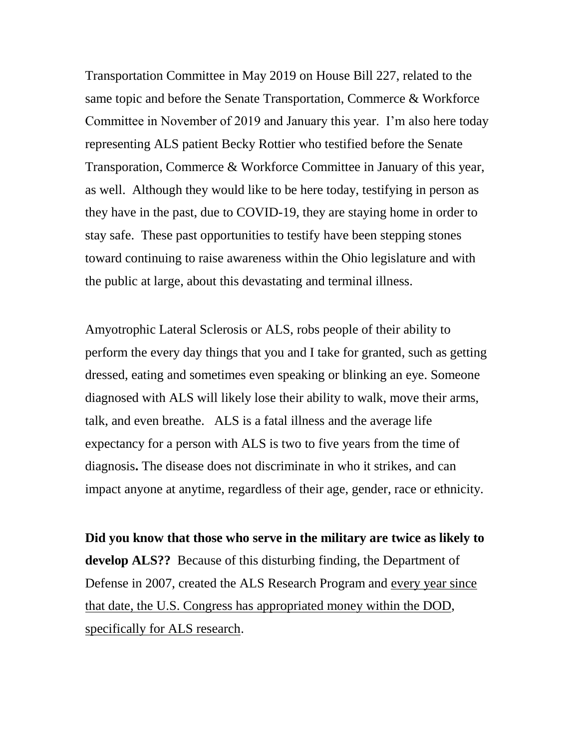Transportation Committee in May 2019 on House Bill 227, related to the same topic and before the Senate Transportation, Commerce & Workforce Committee in November of 2019 and January this year. I'm also here today representing ALS patient Becky Rottier who testified before the Senate Transporation, Commerce & Workforce Committee in January of this year, as well. Although they would like to be here today, testifying in person as they have in the past, due to COVID-19, they are staying home in order to stay safe. These past opportunities to testify have been stepping stones toward continuing to raise awareness within the Ohio legislature and with the public at large, about this devastating and terminal illness.

Amyotrophic Lateral Sclerosis or ALS, robs people of their ability to perform the every day things that you and I take for granted, such as getting dressed, eating and sometimes even speaking or blinking an eye. Someone diagnosed with ALS will likely lose their ability to walk, move their arms, talk, and even breathe. ALS is a fatal illness and the average life expectancy for a person with ALS is two to five years from the time of diagnosis**.** The disease does not discriminate in who it strikes, and can impact anyone at anytime, regardless of their age, gender, race or ethnicity.

**Did you know that those who serve in the military are twice as likely to develop ALS??** Because of this disturbing finding, the Department of Defense in 2007, created the ALS Research Program and every year since that date, the U.S. Congress has appropriated money within the DOD, specifically for ALS research.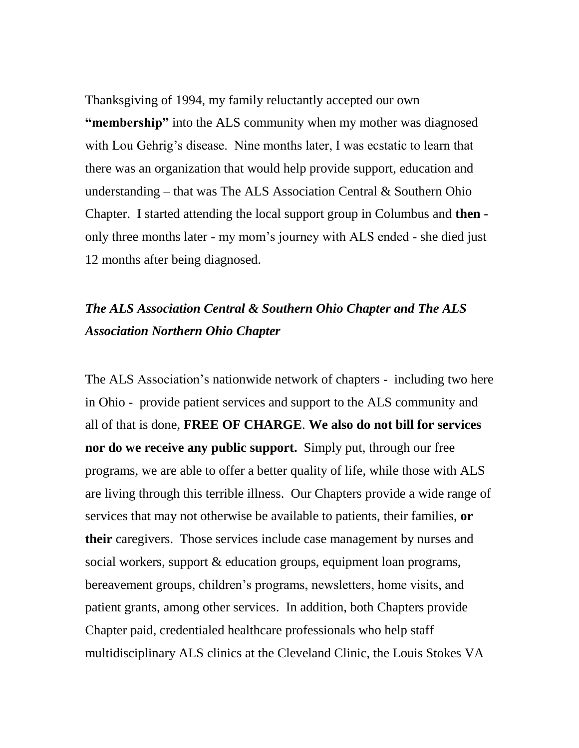Thanksgiving of 1994, my family reluctantly accepted our own **"membership"** into the ALS community when my mother was diagnosed with Lou Gehrig's disease. Nine months later, I was ecstatic to learn that there was an organization that would help provide support, education and understanding – that was The ALS Association Central  $&$  Southern Ohio Chapter. I started attending the local support group in Columbus and **then**  only three months later - my mom's journey with ALS ended - she died just 12 months after being diagnosed.

## *The ALS Association Central & Southern Ohio Chapter and The ALS Association Northern Ohio Chapter*

The ALS Association's nationwide network of chapters - including two here in Ohio - provide patient services and support to the ALS community and all of that is done, **FREE OF CHARGE**. **We also do not bill for services nor do we receive any public support.** Simply put, through our free programs, we are able to offer a better quality of life, while those with ALS are living through this terrible illness. Our Chapters provide a wide range of services that may not otherwise be available to patients, their families, **or their** caregivers. Those services include case management by nurses and social workers, support & education groups, equipment loan programs, bereavement groups, children's programs, newsletters, home visits, and patient grants, among other services. In addition, both Chapters provide Chapter paid, credentialed healthcare professionals who help staff multidisciplinary ALS clinics at the Cleveland Clinic, the Louis Stokes VA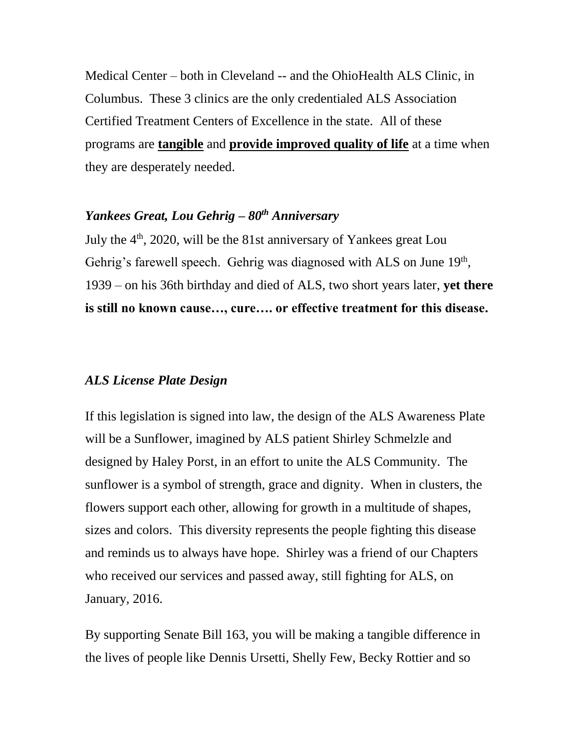Medical Center – both in Cleveland -- and the OhioHealth ALS Clinic, in Columbus. These 3 clinics are the only credentialed ALS Association Certified Treatment Centers of Excellence in the state. All of these programs are **tangible** and **provide improved quality of life** at a time when they are desperately needed.

#### *Yankees Great, Lou Gehrig – 80th Anniversary*

July the  $4<sup>th</sup>$ , 2020, will be the 81st anniversary of Yankees great Lou Gehrig's farewell speech. Gehrig was diagnosed with ALS on June 19<sup>th</sup>, 1939 – on his 36th birthday and died of ALS, two short years later, **yet there is still no known cause…, cure…. or effective treatment for this disease.**

#### *ALS License Plate Design*

If this legislation is signed into law, the design of the ALS Awareness Plate will be a Sunflower, imagined by ALS patient Shirley Schmelzle and designed by Haley Porst, in an effort to unite the ALS Community. The sunflower is a symbol of strength, grace and dignity. When in clusters, the flowers support each other, allowing for growth in a multitude of shapes, sizes and colors. This diversity represents the people fighting this disease and reminds us to always have hope. Shirley was a friend of our Chapters who received our services and passed away, still fighting for ALS, on January, 2016.

By supporting Senate Bill 163, you will be making a tangible difference in the lives of people like Dennis Ursetti, Shelly Few, Becky Rottier and so